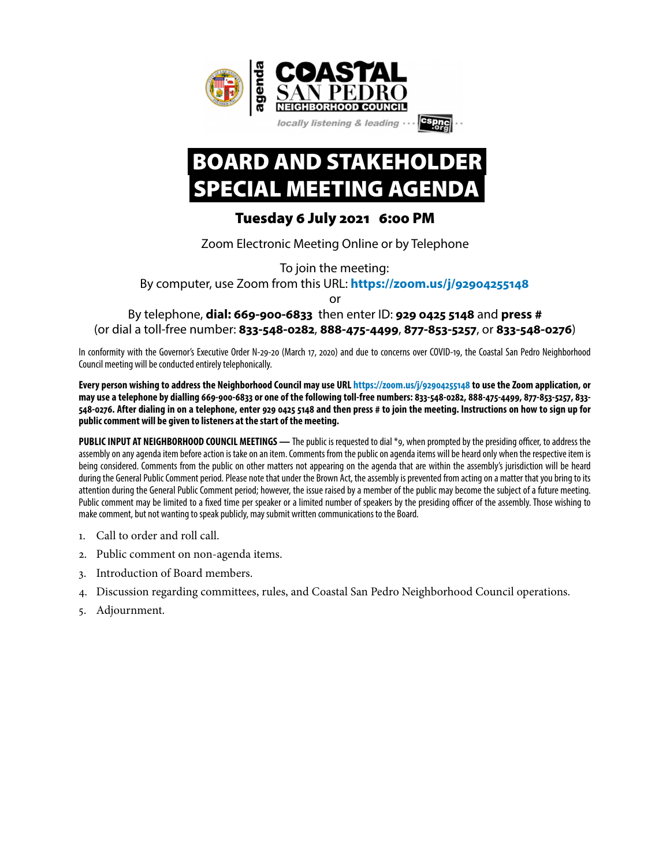

## BOARD AND STAKEHOLDER SPECIAL MEETING AGENDA

## Tuesday 6 July 2021 6:00 PM

Zoom Electronic Meeting Online or by Telephone

To join the meeting:

By computer, use Zoom from this URL: **[https://zoom.us/j/](https://zoom.us/j/92904255148)92904255148**

or

## By telephone, **dial: 669-900-6833** then enter ID: **929 0425 5148** and **press #** (or dial a toll-free number: 833-548-0282, 888-475-4499, 877-853-5257, or 833-548-0276)

In conformity with the Governor's Executive Order N-29-20 (March 17, 2020) and due to concerns over COVID-19, the Coastal San Pedro Neighborhood Council meeting will be conducted entirely telephonically.

**Every person wishing to address the Neighborhood Council may use URL [https://zoom.us/j/](https://zoom.us/j/92904255148)92904255148 to use the Zoom application, or**  may use a telephone by dialling 669-900-6833 or one of the following toll-free numbers: 833-548-0282, 888-475-4499, 877-853-5257, 833-**548-0276. After dialing in on a telephone, enter 929 0425 5148 and then press # to join the meeting. Instructions on how to sign up for public comment will be given to listeners at the start of the meeting.** 

**PUBLIC INPUT AT NEIGHBORHOOD COUNCIL MEETINGS —** The public is requested to dial \*9, when prompted by the presiding officer, to address the assembly on any agenda item before action is take on an item. Comments from the public on agenda items will be heard only when the respective item is being considered. Comments from the public on other matters not appearing on the agenda that are within the assembly's jurisdiction will be heard during the General Public Comment period. Please note that under the Brown Act, the assembly is prevented from acting on a matter that you bring to its attention during the General Public Comment period; however, the issue raised by a member of the public may become the subject of a future meeting. Public comment may be limited to a fxed time per speaker or a limited number of speakers by the presiding officer of the assembly. Those wishing to make comment, but not wanting to speak publicly, may submit written communications to the Board.

- 1. Call to order and roll call.
- 2. Public comment on non-agenda items.
- 3. Introduction of Board members.
- 4. Discussion regarding committees, rules, and Coastal San Pedro Neighborhood Council operations.
- 5. Adjournment.